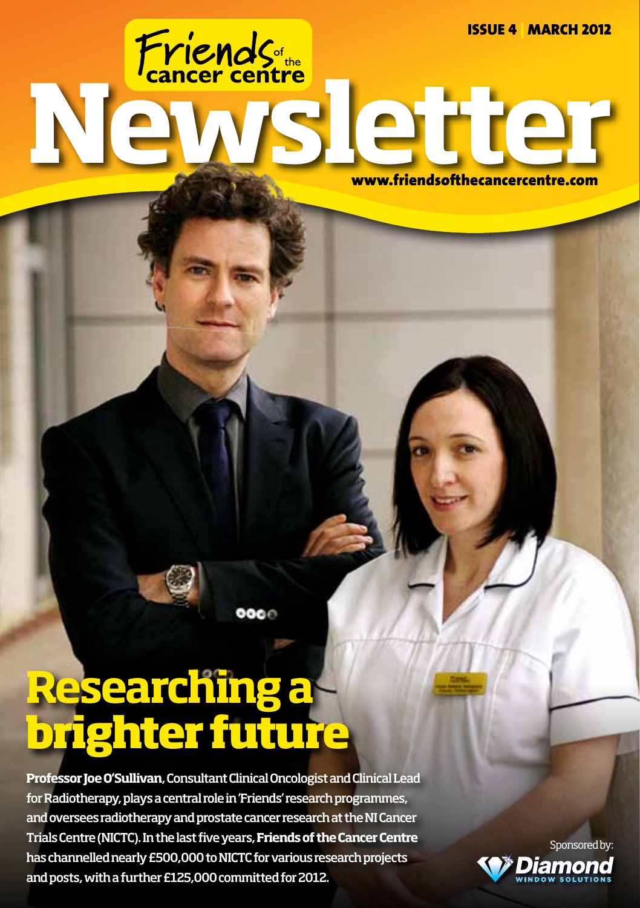Issue 4 | MARCH 2012

www.friendsofthecancercentre.com

**Researching a brighter future**

**Professor Joe O'Sullivan**, Consultant Clinical Oncologist and Clinical Lead for Radiotherapy, plays a central role in 'Friends' research programmes, and oversees radiotherapy and prostate cancer research at the NI Cancer Trials Centre (NICTC). In the last five years, **Friends of the Cancer Centre** has channelled nearly £500,000 to NICTC for various research projects and posts, with a further £125,000 committed for 2012.

 $000C$ 

News letter

Sponsored by: Diamond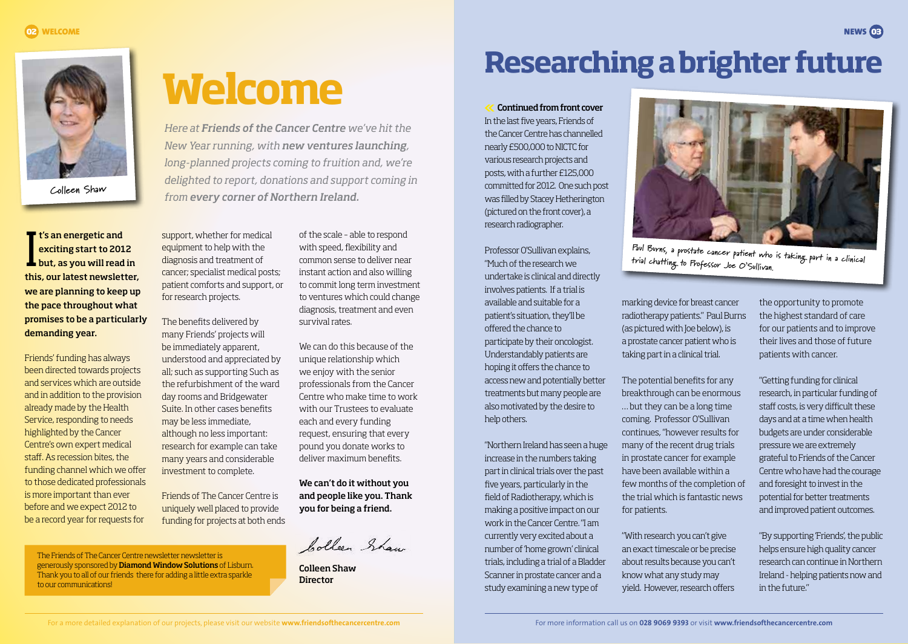**Colleen Shaw**

It's an energetic and<br>exciting start to 2012<br>but, as you will read in **t's an energetic and** exciting start to 2012 this, our latest newsletter, we are planning to keep up the pace throughout what promises to be a particularly demanding year.

Friends' funding has always been directed towards projects and services which are outside and in addition to the provision already made by the Health Service, responding to needs highlighted by the Cancer Centre's own expert medical staff. As recession bites, the funding channel which we offer to those dedicated professionals is more important than ever before and we expect 2012 to be a record year for requests for

support, whether for medical equipment to help with the diagnosis and treatment of cancer; specialist medical posts; patient comforts and support, or for research projects.

The benefits delivered by many Friends' projects will be immediately apparent, understood and appreciated by all; such as supporting Such as the refurbishment of the ward day rooms and Bridgewater Suite. In other cases benefits may be less immediate, although no less important: research for example can take many years and considerable investment to complete.

Friends of The Cancer Centre is uniquely well placed to provide funding for projects at both ends

The Friends of The Cancer Centre newsletter newsletter is generously sponsored by Diamond Window Solutions of Lisburn. Thank you to all of our friends there for adding a little extra sparkle to our communications!

**Welcome**

*Here at Friends of the Cancer Centre we've hit the New Year running, with new ventures launching, long-planned projects coming to fruition and, we're delighted to report, donations and support coming in from every corner of Northern Ireland.*

> of the scale – able to respond with speed, flexibility and common sense to deliver near instant action and also willing to commit long term investment to ventures which could change diagnosis, treatment and even survival rates.

We can do this because of the unique relationship which we enjoy with the senior professionals from the Cancer Centre who make time to work with our Trustees to evaluate each and every funding request, ensuring that every pound you donate works to deliver maximum benefits.

We can't do it without you and people like you. Thank you for being a friend.

bollen Shaw

Colleen Shaw **Director** 

## **Researching a brighter future**

 Continued from front cover In the last five years, Friends of the Cancer Centre has channelled nearly £500,000 to NICTC for various research projects and posts, with a further £125,000 committed for 2012. One such post was filled by Stacey Hetherington (pictured on the front cover), a research radiographer.

Professor O'Sullivan explains, "Much of the research we undertake is clinical and directly involves patients. If a trial is available and suitable for a patient's situation, they'll be offered the chance to participate by their oncologist. Understandably patients are hoping it offers the chance to access new and potentially better treatments but many people are also motivated by the desire to help others.

"Northern Ireland has seen a huge increase in the numbers taking part in clinical trials over the past five years, particularly in the field of Radiotherapy, which is making a positive impact on our work in the Cancer Centre. "I am currently very excited about a number of 'home grown' clinical trials, including a trial of a Bladder Scanner in prostate cancer and a study examining a new type of



**Paul Burns, a prostate cancer patient who is taking part in a clinical trial chatting to Professor Joe O'Sullivan.**

marking device for breast cancer radiotherapy patients." Paul Burns (as pictured with Joe below), is a prostate cancer patient who is taking part in a clinical trial.

The potential benefits for any breakthrough can be enormous … but they can be a long time coming. Professor O'Sullivan continues, "however results for many of the recent drug trials in prostate cancer for example have been available within a few months of the completion of the trial which is fantastic news for patients.

"With research you can't give an exact timescale or be precise about results because you can't know what any study may yield. However, research offers

the opportunity to promote the highest standard of care for our patients and to improve their lives and those of future patients with cancer.

"Getting funding for clinical research, in particular funding of staff costs, is very difficult these days and at a time when health budgets are under considerable pressure we are extremely grateful to Friends of the Cancer Centre who have had the courage and foresight to invest in the potential for better treatments and improved patient outcomes.

"By supporting 'Friends', the public helps ensure high quality cancer research can continue in Northern Ireland - helping patients now and in the future."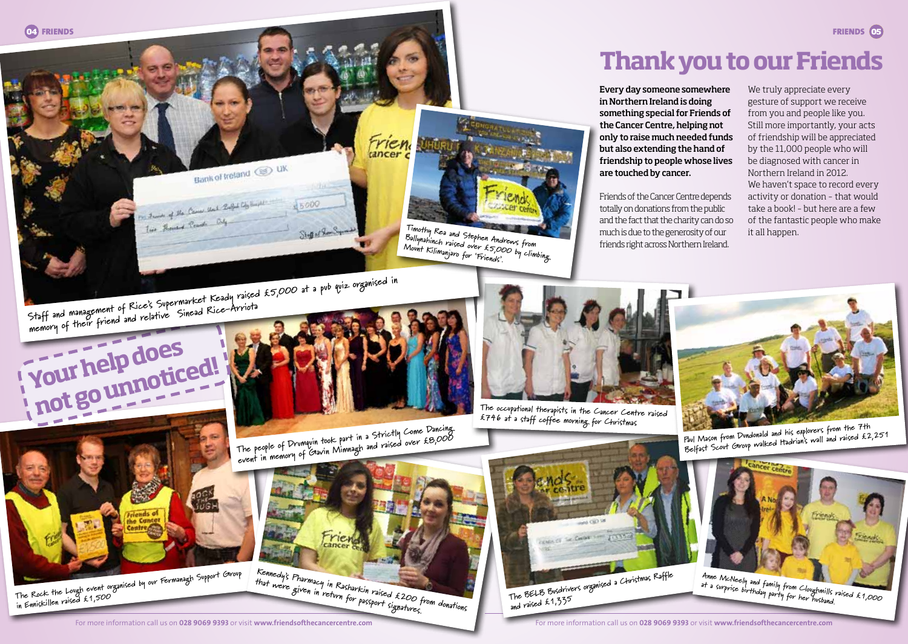



**Thank you to our Friends**

Every day someone somewhere in Northern Ireland is doing something special for Friends of the Cancer Centre, helping not only to raise much needed funds but also extending the hand of friendship to people whose lives are touched by cancer.

Friends of the Cancer Centre depends totally on donations from the public and the fact that the charity can do so much is due to the generosity of our friends right across Northern Ireland.

We truly appreciate every gesture of support we receive from you and people like you. Still more importantly, your acts of friendship will be appreciated by the 11,000 people who will be diagnosed with cancer in Northern Ireland in 2012. We haven't space to record every activity or donation – that would take a book! – but here are a few of the fantastic people who make it all happen.

**Staff and management of Rice's Supermarket Keady raised £5,000 at a pub quiz organised in memory of their friend and relative Sinead Rice-Arriota**







**The occupational therapists in the Cancer Centre raised £746 at a staff coffee morning for Christmas**



**Paul Mason from Dundonald and his explorers from the 7th Belfast Scout Group walked Hadrian's wall and raised £2,251**



**The Rock the Lough event organised by our Fermanagh Support Group in Enniskillen raised £1,500**

**The people of Drumquin took part in a Strictly Come Dancing**  event in memory of Gavin Mimnagh and raised over £8,000<br>event in memory of Gavin Mimnagh and raised over £8,000

**Kennedy's Pharmacy in Rasharkin raised £200 from donations that were given in return for passport signatures.**

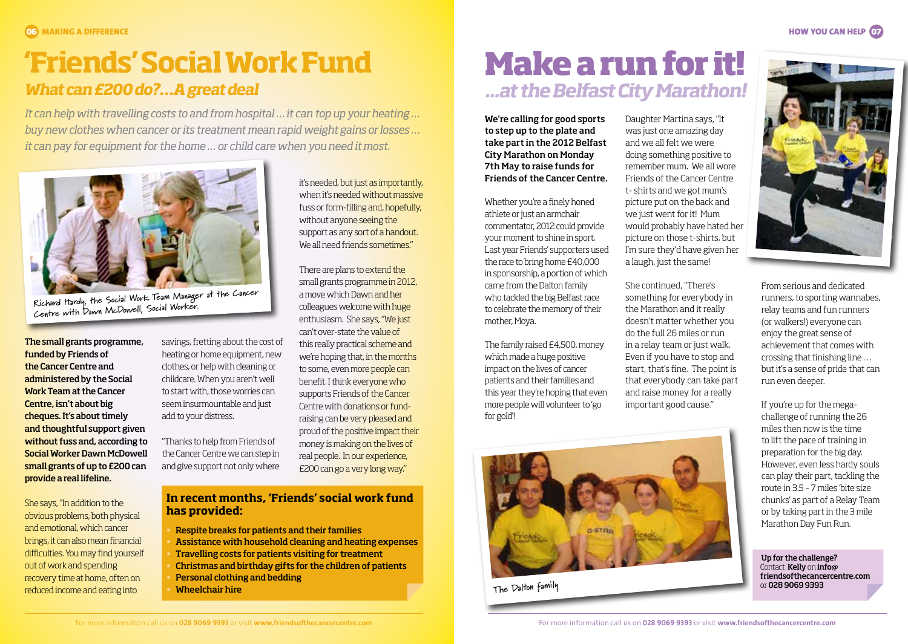#### **HOW YOU CAN HELP (17)**

## **'Friends' Social Work Fund** *What can £200 do?…A great deal*

*It can help with travelling costs to and from hospital … it can top up your heating … buy new clothes when cancer or its treatment mean rapid weight gains or losses … it can pay for equipment for the home … or child care when you need it most.*



**Richard Hardy, the Social Work Team Manager at the Cancer Centre with Dawn McDowell, Social Worker.**

The small grants programme, funded by Friends of the Cancer Centre and administered by the Social Work Team at the Cancer Centre, isn't about big cheques. It's about timely and thoughtful support given without fuss and, according to Social Worker Dawn McDowell small grants of up to £200 can provide a real lifeline.

She says, "In addition to the obvious problems, both physical and emotional, which cancer brings, it can also mean financial difficulties. You may find yourself out of work and spending recovery time at home, often on reduced income and eating into

savings, fretting about the cost of heating or home equipment, new clothes, or help with cleaning or childcare. When you aren't well to start with, those worries can seem insurmountable and just add to your distress.

"Thanks to help from Friends of the Cancer Centre we can step in and give support not only where

**In recent months, 'Friends' social work fund has provided:**

it's needed, but just as importantly, when it's needed without massive fuss or form-filling and, hopefully, without anyone seeing the support as any sort of a handout. We all need friends sometimes."

There are plans to extend the small grants programme in 2012, a move which Dawn and her colleagues welcome with huge enthusiasm. She says, "We just can't over-state the value of this really practical scheme and we're hoping that, in the months to some, even more people can benefit. I think everyone who supports Friends of the Cancer Centre with donations or fundraising can be very pleased and proud of the positive impact their money is making on the lives of real people. In our experience, £200 can go a very long way."

• Respite breaks for patients and their families • Assistance with household cleaning and heating expenses • Travelling costs for patients visiting for treatment • Christmas and birthday gifts for the children of patients • Personal clothing and bedding • Wheelchair hire

*...at the Belfast City Marathon!* **Make a run for it!**

We're calling for good sports to step up to the plate and take part in the 2012 Belfast City Marathon on Monday 7th May to raise funds for Friends of the Cancer Centre.

Whether you're a finely honed athlete or just an armchair commentator, 2012 could provide your moment to shine in sport. Last year Friends' supporters used the race to bring home £40,000 in sponsorship, a portion of which came from the Dalton family who tackled the big Belfast race to celebrate the memory of their mother, Moya.

The family raised £4,500, money which made a huge positive impact on the lives of cancer patients and their families and this year they're hoping that even more people will volunteer to 'go for gold'!



**The Dalton family**

Daughter Martina says, "It was just one amazing day and we all felt we were doing something positive to remember mum. We all wore Friends of the Cancer Centre t- shirts and we got mum's picture put on the back and we just went for it! Mum would probably have hated her picture on those t-shirts, but I'm sure they'd have given her a laugh, just the same!

She continued, "There's something for everybody in the Marathon and it really doesn't matter whether you do the full 26 miles or run in a relay team or just walk. Even if you have to stop and start, that's fine. The point is that everybody can take part and raise money for a really important good cause."



From serious and dedicated runners, to sporting wannabes, relay teams and fun runners (or walkers!) everyone can enjoy the great sense of achievement that comes with crossing that finishing line . . . but it's a sense of pride that can run even deeper.

If you're up for the megachallenge of running the 26 miles then now is the time to lift the pace of training in preparation for the big day. However, even less hardy souls can play their part, tackling the route in 3.5 – 7 miles 'bite size chunks' as part of a Relay Team or by taking part in the 3 mile Marathon Day Fun Run.

Up for the challenge? Contact Kelly on info@ friendsofthecancercentre.com or 028 9069 9393